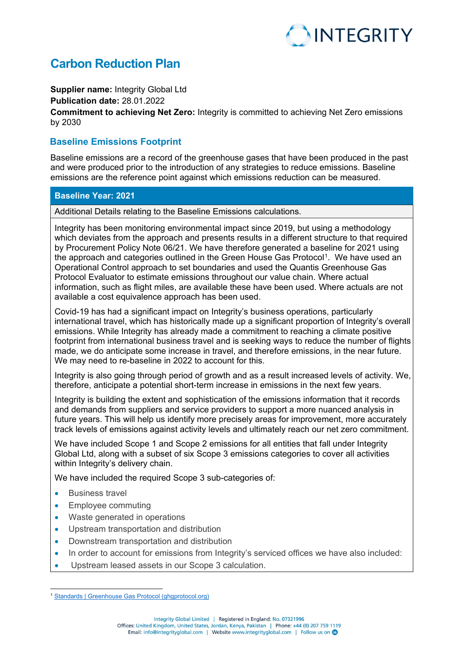

# **Carbon Reduction Plan**

**Supplier name: Integrity Global Ltd** 

**Publication date:** 28.01.2022

**Commitment to achieving Net Zero:** Integrity is committed to achieving Net Zero emissions by 2030

# **Baseline Emissions Footprint**

Baseline emissions are a record of the greenhouse gases that have been produced in the past and were produced prior to the introduction of any strategies to reduce emissions. Baseline emissions are the reference point against which emissions reduction can be measured.

#### **Baseline Year: 2021**

Additional Details relating to the Baseline Emissions calculations.

Integrity has been monitoring environmental impact since 2019, but using a methodology which deviates from the approach and presents results in a different structure to that required by Procurement Policy Note 06/21. We have therefore generated a baseline for 2021 using the approach and categories outlined in the Green House Gas Protocol[1.](#page-0-0) We have used an Operational Control approach to set boundaries and used the Quantis Greenhouse Gas Protocol Evaluator to estimate emissions throughout our value chain. Where actual information, such as flight miles, are available these have been used. Where actuals are not available a cost equivalence approach has been used.

Covid-19 has had a significant impact on Integrity's business operations, particularly international travel, which has historically made up a significant proportion of Integrity's overall emissions. While Integrity has already made a commitment to reaching a climate positive footprint from international business travel and is seeking ways to reduce the number of flights made, we do anticipate some increase in travel, and therefore emissions, in the near future. We may need to re-baseline in 2022 to account for this.

Integrity is also going through period of growth and as a result increased levels of activity. We, therefore, anticipate a potential short-term increase in emissions in the next few years.

Integrity is building the extent and sophistication of the emissions information that it records and demands from suppliers and service providers to support a more nuanced analysis in future years. This will help us identify more precisely areas for improvement, more accurately track levels of emissions against activity levels and ultimately reach our net zero commitment.

We have included Scope 1 and Scope 2 emissions for all entities that fall under Integrity Global Ltd, along with a subset of six Scope 3 emissions categories to cover all activities within Integrity's delivery chain.

We have included the required Scope 3 sub-categories of:

- Business travel
- Employee commuting
- Waste generated in operations
- Upstream transportation and distribution
- Downstream transportation and distribution
- In order to account for emissions from Integrity's serviced offices we have also included:
- Upstream leased assets in our Scope 3 calculation.

<span id="page-0-0"></span><sup>&</sup>lt;sup>1</sup> [Standards | Greenhouse Gas Protocol \(ghgprotocol.org\)](https://ghgprotocol.org/standards)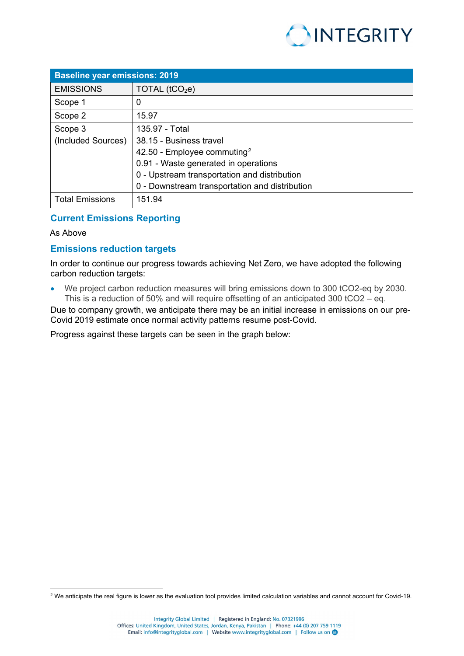

| <b>Baseline year emissions: 2019</b> |                                                |
|--------------------------------------|------------------------------------------------|
| <b>EMISSIONS</b>                     | TOTAL $(tCO2e)$                                |
| Scope 1                              | U                                              |
| Scope 2                              | 15.97                                          |
| Scope 3                              | 135.97 - Total                                 |
| (Included Sources)                   | 38.15 - Business travel                        |
|                                      | 42.50 - Employee commuting <sup>2</sup>        |
|                                      | 0.91 - Waste generated in operations           |
|                                      | 0 - Upstream transportation and distribution   |
|                                      | 0 - Downstream transportation and distribution |
| <b>Total Emissions</b>               | 151.94                                         |

## **Current Emissions Reporting**

As Above

## **Emissions reduction targets**

In order to continue our progress towards achieving Net Zero, we have adopted the following carbon reduction targets:

• We project carbon reduction measures will bring emissions down to 300 tCO2-eg by 2030. This is a reduction of 50% and will require offsetting of an anticipated 300 tCO2 – eq.

Due to company growth, we anticipate there may be an initial increase in emissions on our pre-Covid 2019 estimate once normal activity patterns resume post-Covid.

Progress against these targets can be seen in the graph below:

<span id="page-1-0"></span> $^{\rm 2}$  We anticipate the real figure is lower as the evaluation tool provides limited calculation variables and cannot account for Covid-19.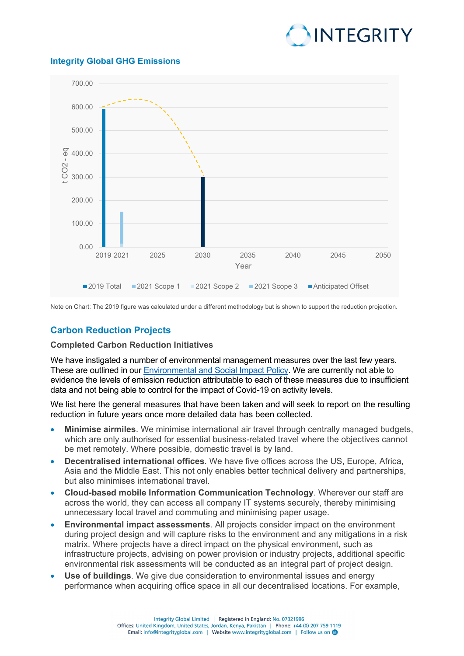

#### **Integrity Global GHG Emissions**



Note on Chart: The 2019 figure was calculated under a different methodology but is shown to support the reduction projection.

# **Carbon Reduction Projects**

#### **Completed Carbon Reduction Initiatives**

We have instigated a number of environmental management measures over the last few years. These are outlined in our [Environmental and Social Impact Policy.](https://www.integrityglobal.com/wp-content/uploads/2021_integrity-environmental-and-social-impact-policy2-2.pdf) We are currently not able to evidence the levels of emission reduction attributable to each of these measures due to insufficient data and not being able to control for the impact of Covid-19 on activity levels.

We list here the general measures that have been taken and will seek to report on the resulting reduction in future years once more detailed data has been collected.

- **Minimise airmiles**. We minimise international air travel through centrally managed budgets, which are only authorised for essential business-related travel where the objectives cannot be met remotely. Where possible, domestic travel is by land.
- **Decentralised international offices**. We have five offices across the US, Europe, Africa, Asia and the Middle East. This not only enables better technical delivery and partnerships, but also minimises international travel.
- **Cloud-based mobile Information Communication Technology**. Wherever our staff are across the world, they can access all company IT systems securely, thereby minimising unnecessary local travel and commuting and minimising paper usage.
- **Environmental impact assessments**. All projects consider impact on the environment during project design and will capture risks to the environment and any mitigations in a risk matrix. Where projects have a direct impact on the physical environment, such as infrastructure projects, advising on power provision or industry projects, additional specific environmental risk assessments will be conducted as an integral part of project design.
- **Use of buildings**. We give due consideration to environmental issues and energy performance when acquiring office space in all our decentralised locations. For example,